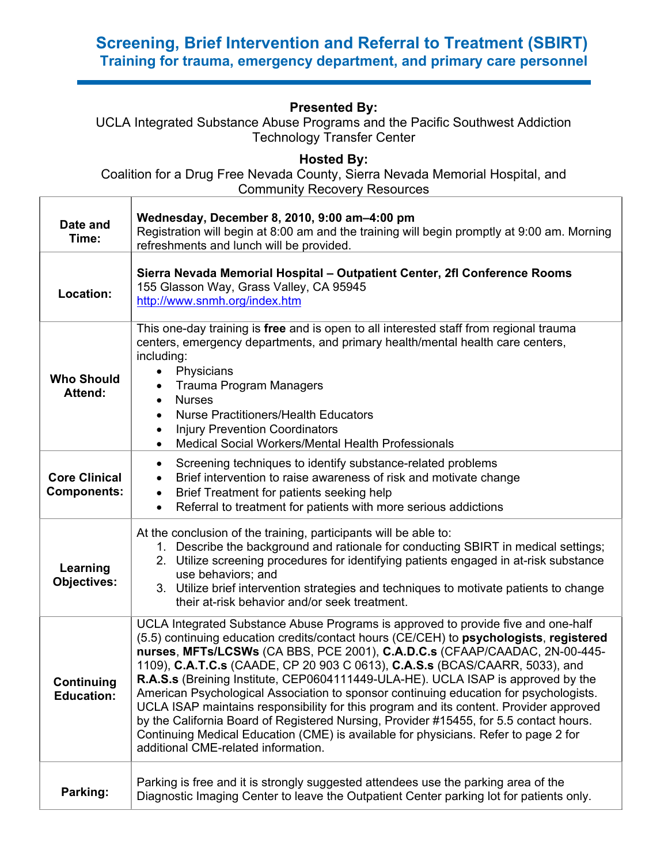## **Screening, Brief Intervention and Referral to Treatment (SBIRT) Training for trauma, emergency department, and primary care personnel**

## **Presented By:**

UCLA Integrated Substance Abuse Programs and the Pacific Southwest Addiction Technology Transfer Center

**Hosted By:**

Coalition for a Drug Free Nevada County, Sierra Nevada Memorial Hospital, and Community Recovery Resources  $\top$ 

| Date and<br>Time:                          | Wednesday, December 8, 2010, 9:00 am-4:00 pm<br>Registration will begin at 8:00 am and the training will begin promptly at 9:00 am. Morning<br>refreshments and lunch will be provided.                                                                                                                                                                                                                                                                                                                                                                                                                                                                                                                                                                                                                                                 |  |  |
|--------------------------------------------|-----------------------------------------------------------------------------------------------------------------------------------------------------------------------------------------------------------------------------------------------------------------------------------------------------------------------------------------------------------------------------------------------------------------------------------------------------------------------------------------------------------------------------------------------------------------------------------------------------------------------------------------------------------------------------------------------------------------------------------------------------------------------------------------------------------------------------------------|--|--|
| Location:                                  | Sierra Nevada Memorial Hospital - Outpatient Center, 2fl Conference Rooms<br>155 Glasson Way, Grass Valley, CA 95945<br>http://www.snmh.org/index.htm                                                                                                                                                                                                                                                                                                                                                                                                                                                                                                                                                                                                                                                                                   |  |  |
| <b>Who Should</b><br>Attend:               | This one-day training is free and is open to all interested staff from regional trauma<br>centers, emergency departments, and primary health/mental health care centers,<br>including:<br>Physicians<br>$\bullet$<br><b>Trauma Program Managers</b><br><b>Nurses</b><br>$\bullet$<br><b>Nurse Practitioners/Health Educators</b><br>$\bullet$<br><b>Injury Prevention Coordinators</b><br>$\bullet$<br>Medical Social Workers/Mental Health Professionals<br>$\bullet$                                                                                                                                                                                                                                                                                                                                                                  |  |  |
| <b>Core Clinical</b><br><b>Components:</b> | Screening techniques to identify substance-related problems<br>$\bullet$<br>Brief intervention to raise awareness of risk and motivate change<br>$\bullet$<br>Brief Treatment for patients seeking help<br>$\bullet$<br>Referral to treatment for patients with more serious addictions<br>$\bullet$                                                                                                                                                                                                                                                                                                                                                                                                                                                                                                                                    |  |  |
| Learning<br><b>Objectives:</b>             | At the conclusion of the training, participants will be able to:<br>1. Describe the background and rationale for conducting SBIRT in medical settings;<br>2. Utilize screening procedures for identifying patients engaged in at-risk substance<br>use behaviors; and<br>3. Utilize brief intervention strategies and techniques to motivate patients to change<br>their at-risk behavior and/or seek treatment.                                                                                                                                                                                                                                                                                                                                                                                                                        |  |  |
| Continuing<br><b>Education:</b>            | UCLA Integrated Substance Abuse Programs is approved to provide five and one-half<br>(5.5) continuing education credits/contact hours (CE/CEH) to psychologists, registered<br>nurses, MFTs/LCSWs (CA BBS, PCE 2001), C.A.D.C.s (CFAAP/CAADAC, 2N-00-445-<br>1109), C.A.T.C.s (CAADE, CP 20 903 C 0613), C.A.S.s (BCAS/CAARR, 5033), and<br>R.A.S.s (Breining Institute, CEP0604111449-ULA-HE). UCLA ISAP is approved by the<br>American Psychological Association to sponsor continuing education for psychologists.<br>UCLA ISAP maintains responsibility for this program and its content. Provider approved<br>by the California Board of Registered Nursing, Provider #15455, for 5.5 contact hours.<br>Continuing Medical Education (CME) is available for physicians. Refer to page 2 for<br>additional CME-related information. |  |  |
| Parking:                                   | Parking is free and it is strongly suggested attendees use the parking area of the<br>Diagnostic Imaging Center to leave the Outpatient Center parking lot for patients only.                                                                                                                                                                                                                                                                                                                                                                                                                                                                                                                                                                                                                                                           |  |  |